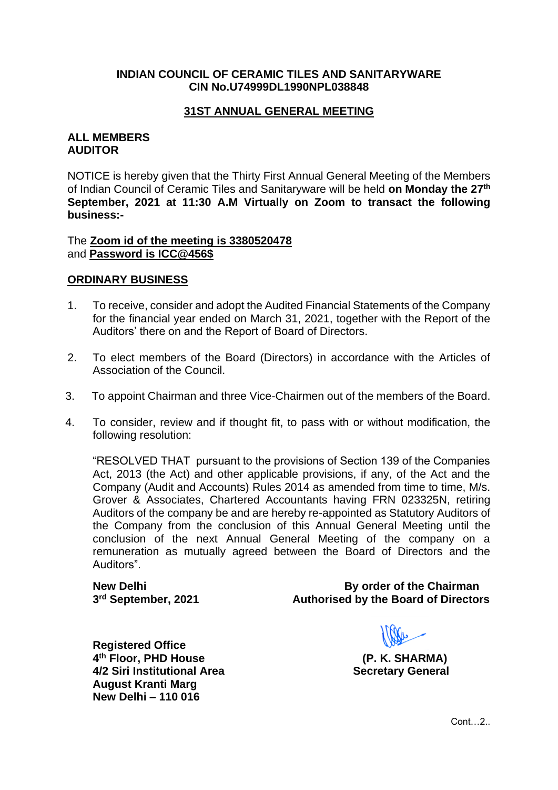## **INDIAN COUNCIL OF CERAMIC TILES AND SANITARYWARE CIN No.U74999DL1990NPL038848**

## **31ST ANNUAL GENERAL MEETING**

#### **ALL MEMBERS AUDITOR**

NOTICE is hereby given that the Thirty First Annual General Meeting of the Members of Indian Council of Ceramic Tiles and Sanitaryware will be held **on Monday the 27th September, 2021 at 11:30 A.M Virtually on Zoom to transact the following business:-**

The **Zoom id of the meeting is 3380520478** and **Password is ICC@456\$**

#### **ORDINARY BUSINESS**

- 1. To receive, consider and adopt the Audited Financial Statements of the Company for the financial year ended on March 31, 2021, together with the Report of the Auditors' there on and the Report of Board of Directors.
- 2. To elect members of the Board (Directors) in accordance with the Articles of Association of the Council.
- 3. To appoint Chairman and three Vice-Chairmen out of the members of the Board.
- 4. To consider, review and if thought fit, to pass with or without modification, the following resolution:

"RESOLVED THAT pursuant to the provisions of Section 139 of the Companies Act, 2013 (the Act) and other applicable provisions, if any, of the Act and the Company (Audit and Accounts) Rules 2014 as amended from time to time, M/s. Grover & Associates, Chartered Accountants having FRN 023325N, retiring Auditors of the company be and are hereby re-appointed as Statutory Auditors of the Company from the conclusion of this Annual General Meeting until the conclusion of the next Annual General Meeting of the company on a remuneration as mutually agreed between the Board of Directors and the Auditors".

3<sup>rd</sup> September, 2021

**New Delhi** By order of the Chairman **Authorised by the Board of Directors** 

**Registered Office 4 th Floor, PHD House (P. K. SHARMA) 4/2 Siri Institutional Area Secretary General August Kranti Marg New Delhi – 110 016**